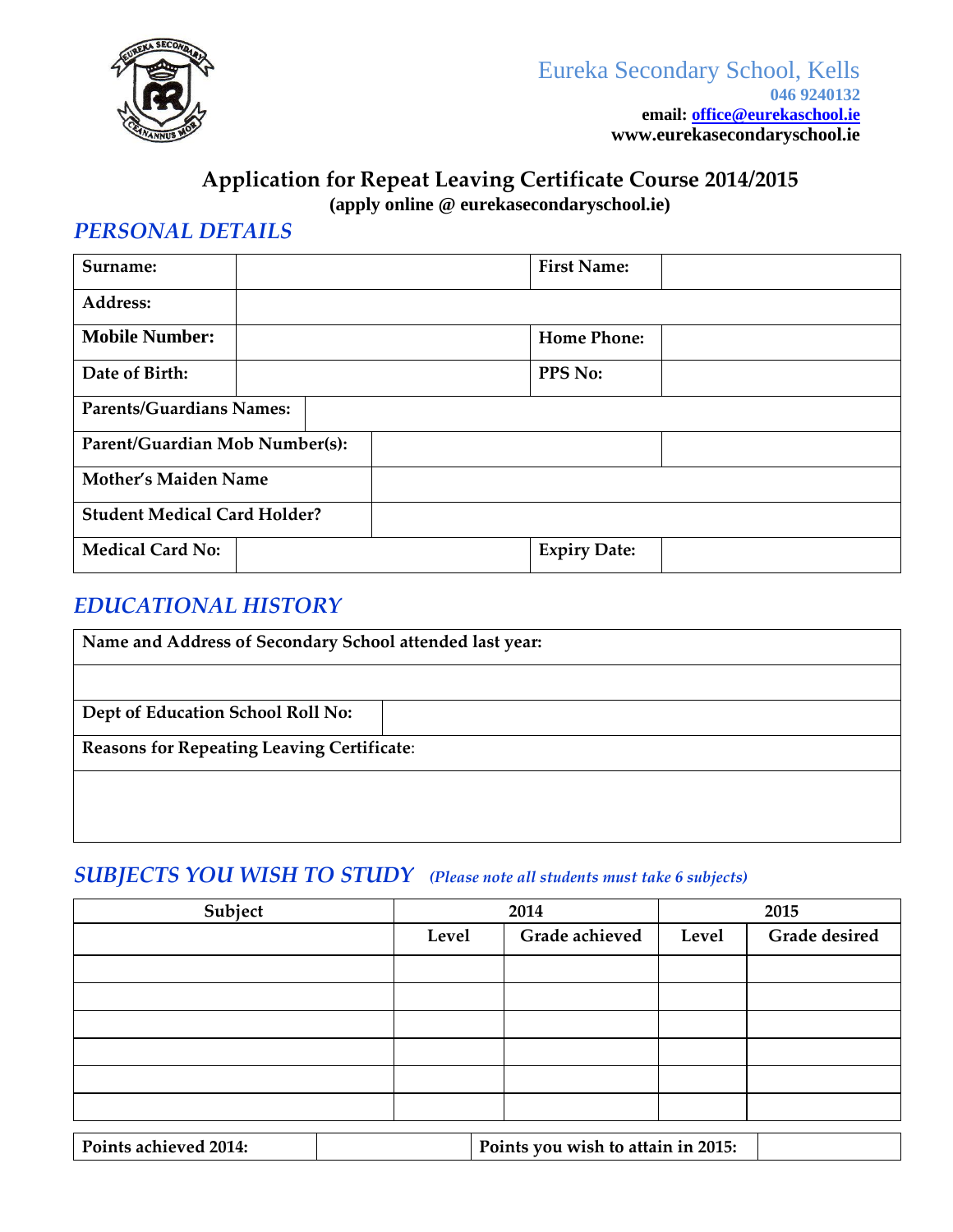

# **Application for Repeat Leaving Certificate Course 2014/2015**

**(apply online @ eurekasecondaryschool.ie)**

## *PERSONAL DETAILS*

| Surname:                            |  | <b>First Name:</b>  |  |  |
|-------------------------------------|--|---------------------|--|--|
| Address:                            |  |                     |  |  |
| <b>Mobile Number:</b>               |  | <b>Home Phone:</b>  |  |  |
| Date of Birth:                      |  | PPS No:             |  |  |
| <b>Parents/Guardians Names:</b>     |  |                     |  |  |
| Parent/Guardian Mob Number(s):      |  |                     |  |  |
| <b>Mother's Maiden Name</b>         |  |                     |  |  |
| <b>Student Medical Card Holder?</b> |  |                     |  |  |
| <b>Medical Card No:</b>             |  | <b>Expiry Date:</b> |  |  |

# *EDUCATIONAL HISTORY*

| Name and Address of Secondary School attended last year: |  |  |  |
|----------------------------------------------------------|--|--|--|
|                                                          |  |  |  |
| Dept of Education School Roll No:                        |  |  |  |
| <b>Reasons for Repeating Leaving Certificate:</b>        |  |  |  |
|                                                          |  |  |  |
|                                                          |  |  |  |

# *SUBJECTS YOU WISH TO STUDY (Please note all students must take 6 subjects)*

| Subject               | 2014  |                                    | 2015  |               |
|-----------------------|-------|------------------------------------|-------|---------------|
|                       | Level | Grade achieved                     | Level | Grade desired |
|                       |       |                                    |       |               |
|                       |       |                                    |       |               |
|                       |       |                                    |       |               |
|                       |       |                                    |       |               |
|                       |       |                                    |       |               |
|                       |       |                                    |       |               |
| Points achieved 2014: |       | Points you wish to attain in 2015: |       |               |